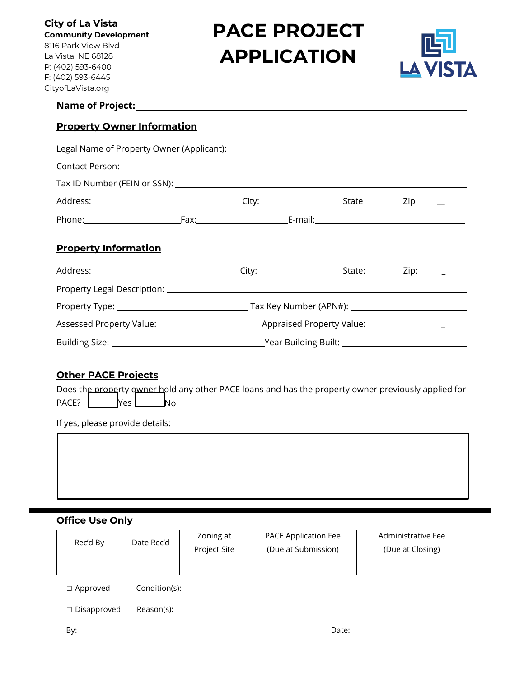**City of La Vista Community Development** 8116 Park View Blvd La Vista, NE 68128 P: (402) 593-6400 F: (402) 593-6445 CityofLaVista.org

# **PACE PROJECT APPLICATION**



#### **Name of Project:**

## **Property Owner Information**

|                             | Contact Person: 2008 Contact Person: |  |  |  |  |
|-----------------------------|--------------------------------------|--|--|--|--|
|                             |                                      |  |  |  |  |
|                             |                                      |  |  |  |  |
|                             |                                      |  |  |  |  |
| <b>Property Information</b> |                                      |  |  |  |  |
|                             |                                      |  |  |  |  |
|                             |                                      |  |  |  |  |
|                             |                                      |  |  |  |  |
|                             |                                      |  |  |  |  |

#### **Other PACE Projects**

Does the property owner hold any other PACE loans and has the property owner previously applied for PACE? | Yes No

If yes, please provide details:

# **Office Use Only**

| Rec'd By              | Date Rec'd           | Zoning at    | PACE Application Fee | Administrative Fee |
|-----------------------|----------------------|--------------|----------------------|--------------------|
|                       |                      | Project Site | (Due at Submission)  | (Due at Closing)   |
|                       |                      |              |                      |                    |
| $\Box$ Approved       | Condition(s): ______ |              |                      |                    |
| $\square$ Disapproved | $Reason(s): \_$      |              |                      |                    |
| By:                   |                      |              | Date:                |                    |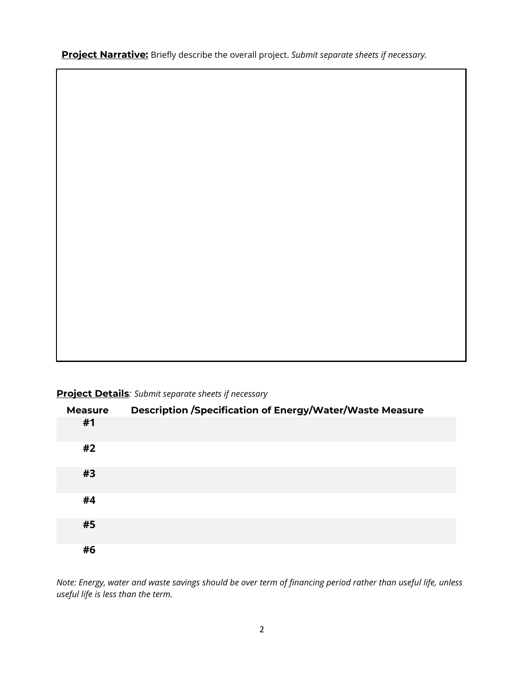**Project Narrative:** Briefly describe the overall project. *Submit separate sheets if necessary.*

**Project Details***: Submit separate sheets if necessary*

| <b>Measure</b> | Description /Specification of Energy/Water/Waste Measure |
|----------------|----------------------------------------------------------|
| #1             |                                                          |
| #2             |                                                          |
| #3             |                                                          |
| #4             |                                                          |
| #5             |                                                          |
| #6             |                                                          |

*Note: Energy, water and waste savings should be over term of financing period rather than useful life, unless useful life is less than the term.*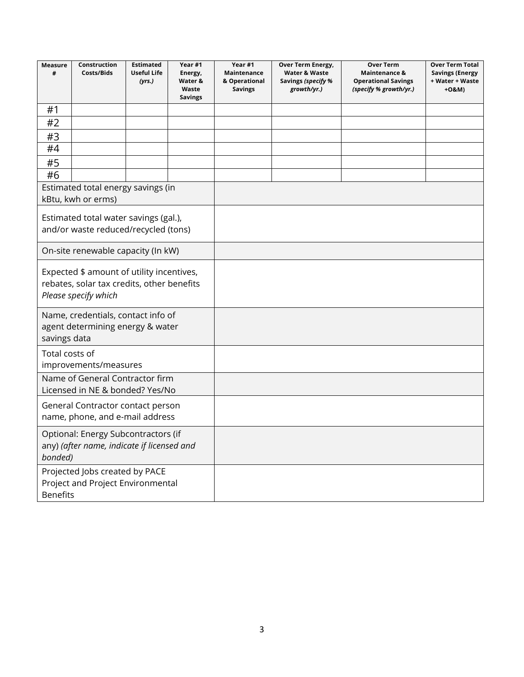| <b>Measure</b><br>#                                                                                             | Construction<br>Costs/Bids         | <b>Estimated</b><br><b>Useful Life</b><br>(yrs.) | Year #1<br>Energy,<br>Water &<br>Waste<br><b>Savings</b> | Year #1<br>Maintenance<br>& Operational<br><b>Savings</b> | Over Term Energy,<br>Water & Waste<br>Savings (specify %<br>growth/yr.) | <b>Over Term</b><br>Maintenance &<br><b>Operational Savings</b><br>(specify % growth/yr.) | <b>Over Term Total</b><br><b>Savings (Energy</b><br>+ Water + Waste<br>+0&M) |
|-----------------------------------------------------------------------------------------------------------------|------------------------------------|--------------------------------------------------|----------------------------------------------------------|-----------------------------------------------------------|-------------------------------------------------------------------------|-------------------------------------------------------------------------------------------|------------------------------------------------------------------------------|
| #1                                                                                                              |                                    |                                                  |                                                          |                                                           |                                                                         |                                                                                           |                                                                              |
| #2                                                                                                              |                                    |                                                  |                                                          |                                                           |                                                                         |                                                                                           |                                                                              |
| #3                                                                                                              |                                    |                                                  |                                                          |                                                           |                                                                         |                                                                                           |                                                                              |
| #4                                                                                                              |                                    |                                                  |                                                          |                                                           |                                                                         |                                                                                           |                                                                              |
| #5                                                                                                              |                                    |                                                  |                                                          |                                                           |                                                                         |                                                                                           |                                                                              |
| #6                                                                                                              |                                    |                                                  |                                                          |                                                           |                                                                         |                                                                                           |                                                                              |
|                                                                                                                 | Estimated total energy savings (in |                                                  |                                                          |                                                           |                                                                         |                                                                                           |                                                                              |
|                                                                                                                 | kBtu, kwh or erms)                 |                                                  |                                                          |                                                           |                                                                         |                                                                                           |                                                                              |
| Estimated total water savings (gal.),<br>and/or waste reduced/recycled (tons)                                   |                                    |                                                  |                                                          |                                                           |                                                                         |                                                                                           |                                                                              |
|                                                                                                                 | On-site renewable capacity (In kW) |                                                  |                                                          |                                                           |                                                                         |                                                                                           |                                                                              |
| Expected \$ amount of utility incentives,<br>rebates, solar tax credits, other benefits<br>Please specify which |                                    |                                                  |                                                          |                                                           |                                                                         |                                                                                           |                                                                              |
| Name, credentials, contact info of<br>agent determining energy & water<br>savings data                          |                                    |                                                  |                                                          |                                                           |                                                                         |                                                                                           |                                                                              |
| Total costs of<br>improvements/measures                                                                         |                                    |                                                  |                                                          |                                                           |                                                                         |                                                                                           |                                                                              |
| Name of General Contractor firm<br>Licensed in NE & bonded? Yes/No                                              |                                    |                                                  |                                                          |                                                           |                                                                         |                                                                                           |                                                                              |
| General Contractor contact person<br>name, phone, and e-mail address                                            |                                    |                                                  |                                                          |                                                           |                                                                         |                                                                                           |                                                                              |
| Optional: Energy Subcontractors (if<br>any) (after name, indicate if licensed and<br>bonded)                    |                                    |                                                  |                                                          |                                                           |                                                                         |                                                                                           |                                                                              |
| Projected Jobs created by PACE<br>Project and Project Environmental<br><b>Benefits</b>                          |                                    |                                                  |                                                          |                                                           |                                                                         |                                                                                           |                                                                              |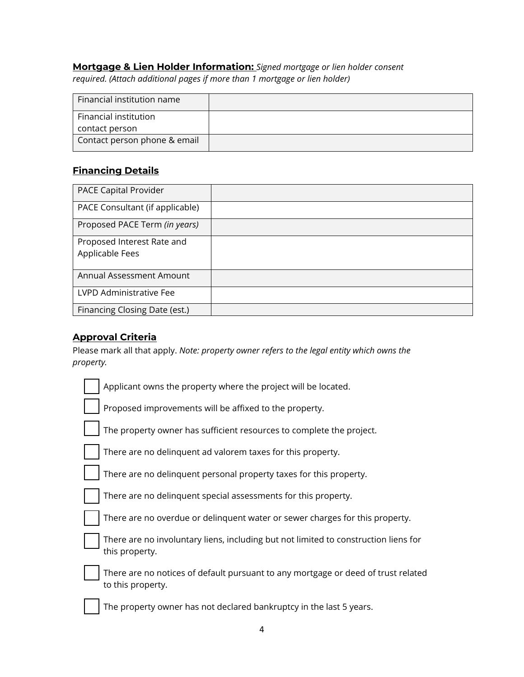# **Mortgage & Lien Holder Information:** *Signed mortgage or lien holder consent*

*required. (Attach additional pages if more than 1 mortgage or lien holder)*

| Financial institution name   |  |
|------------------------------|--|
| Financial institution        |  |
| contact person               |  |
| Contact person phone & email |  |

# **Financing Details**

| PACE Capital Provider                         |  |
|-----------------------------------------------|--|
| PACE Consultant (if applicable)               |  |
| Proposed PACE Term (in years)                 |  |
| Proposed Interest Rate and<br>Applicable Fees |  |
| Annual Assessment Amount                      |  |
| LVPD Administrative Fee                       |  |
| Financing Closing Date (est.)                 |  |

# **Approval Criteria**

Please mark all that apply. *Note: property owner refers to the legal entity which owns the property.*

| Applicant owns the property where the project will be located.                                         |
|--------------------------------------------------------------------------------------------------------|
| Proposed improvements will be affixed to the property.                                                 |
| The property owner has sufficient resources to complete the project.                                   |
| There are no delinguent ad valorem taxes for this property.                                            |
| There are no delinquent personal property taxes for this property.                                     |
| There are no delinquent special assessments for this property.                                         |
| There are no overdue or delinquent water or sewer charges for this property.                           |
| There are no involuntary liens, including but not limited to construction liens for<br>this property.  |
| There are no notices of default pursuant to any mortgage or deed of trust related<br>to this property. |
| The property owner has not declared bankruptcy in the last 5 years.                                    |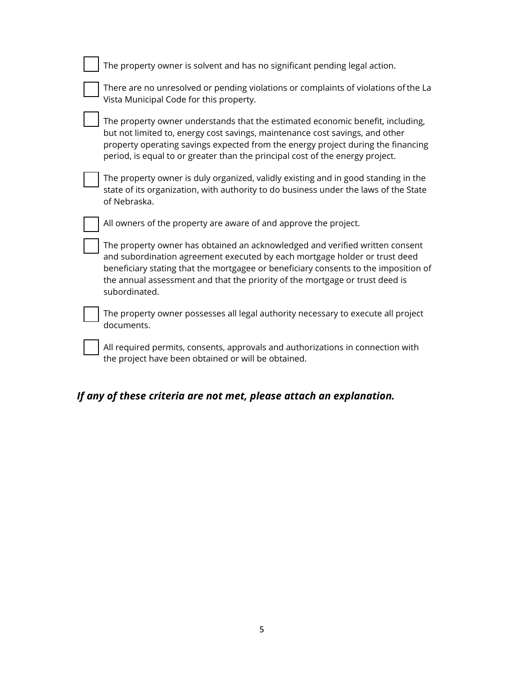| The property owner is solvent and has no significant pending legal action.                                                                                                                                                                                                                                                                         |
|----------------------------------------------------------------------------------------------------------------------------------------------------------------------------------------------------------------------------------------------------------------------------------------------------------------------------------------------------|
| There are no unresolved or pending violations or complaints of violations of the La<br>Vista Municipal Code for this property.                                                                                                                                                                                                                     |
| The property owner understands that the estimated economic benefit, including,<br>but not limited to, energy cost savings, maintenance cost savings, and other<br>property operating savings expected from the energy project during the financing<br>period, is equal to or greater than the principal cost of the energy project.                |
| The property owner is duly organized, validly existing and in good standing in the<br>state of its organization, with authority to do business under the laws of the State<br>of Nebraska.                                                                                                                                                         |
| All owners of the property are aware of and approve the project.                                                                                                                                                                                                                                                                                   |
| The property owner has obtained an acknowledged and verified written consent<br>and subordination agreement executed by each mortgage holder or trust deed<br>beneficiary stating that the mortgagee or beneficiary consents to the imposition of<br>the annual assessment and that the priority of the mortgage or trust deed is<br>subordinated. |
| The property owner possesses all legal authority necessary to execute all project<br>documents.                                                                                                                                                                                                                                                    |
| All required permits, consents, approvals and authorizations in connection with<br>the project have been obtained or will be obtained.                                                                                                                                                                                                             |

# *If any of these criteria are not met, please attach an explanation.*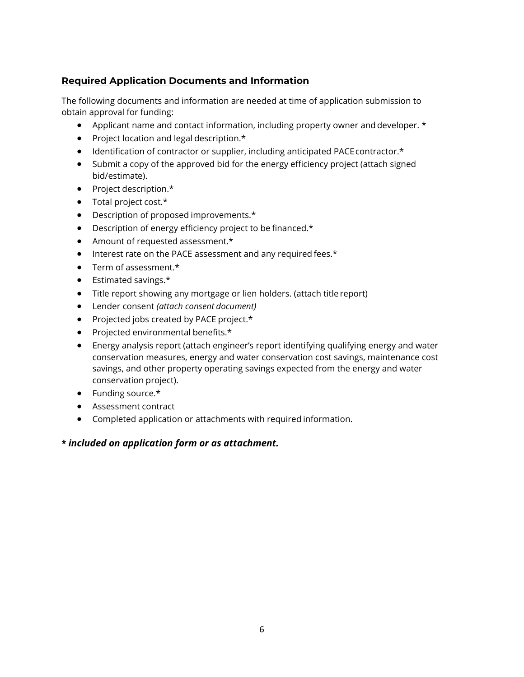# **Required Application Documents and Information**

The following documents and information are needed at time of application submission to obtain approval for funding:

- Applicant name and contact information, including property owner and developer. \*
- Project location and legal description.\*
- Identification of contractor or supplier, including anticipated PACE contractor.\*
- Submit a copy of the approved bid for the energy efficiency project (attach signed bid/estimate).
- Project description.\*
- Total project cost.\*
- Description of proposed improvements.\*
- Description of energy efficiency project to be financed.\*
- Amount of requested assessment.\*
- Interest rate on the PACE assessment and any required fees.\*
- Term of assessment.\*
- Estimated savings.\*
- Title report showing any mortgage or lien holders. (attach title report)
- Lender consent *(attach consent document)*
- Projected jobs created by PACE project.\*
- Projected environmental benefits.\*
- Energy analysis report (attach engineer's report identifying qualifying energy and water conservation measures, energy and water conservation cost savings, maintenance cost savings, and other property operating savings expected from the energy and water conservation project).
- Funding source.\*
- Assessment contract
- Completed application or attachments with required information.

# **\*** *included on application form or as attachment.*